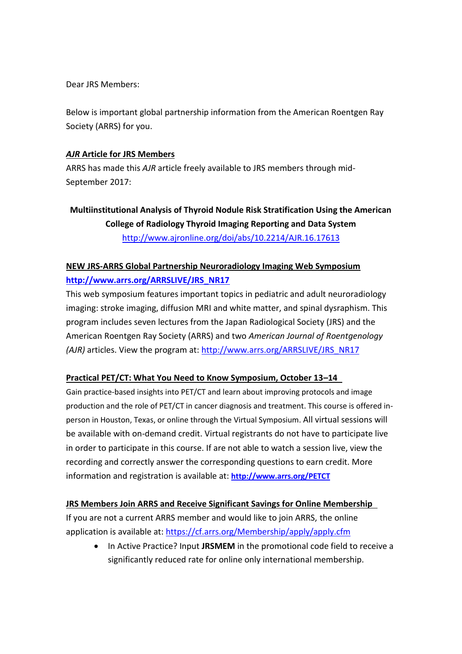Dear JRS Members:

Below is important global partnership information from the American Roentgen Ray Society (ARRS) for you.

### *AJR* **Article for JRS Members**

ARRS has made this *AJR* article freely available to JRS members through mid-September 2017:

# **Multiinstitutional Analysis of Thyroid Nodule Risk Stratification Using the American College of Radiology Thyroid Imaging Reporting and Data System** <http://www.ajronline.org/doi/abs/10.2214/AJR.16.17613>

## **NEW JRS-ARRS Global Partnership Neuroradiology Imaging Web Symposium [http://www.arrs.org/ARRSLIVE/JRS\\_NR17](http://www.arrs.org/ARRSLIVE/JRS_NR17)**

This web symposium features important topics in pediatric and adult neuroradiology imaging: stroke imaging, diffusion MRI and white matter, and spinal dysraphism. This program includes seven lectures from the Japan Radiological Society (JRS) and the American Roentgen Ray Society (ARRS) and two *American Journal of Roentgenology (AJR)* articles. View the program at: [http://www.arrs.org/ARRSLIVE/JRS\\_NR17](http://www.arrs.org/ARRSLIVE/JRS_NR17)

## **Practical PET/CT: What You Need to Know Symposium, October 13–14**

Gain practice-based insights into PET/CT and learn about improving protocols and image production and the role of PET/CT in cancer diagnosis and treatment. This course is offered inperson in Houston, Texas, or online through the Virtual Symposium. All virtual sessions will be available with on-demand credit. Virtual registrants do not have to participate live in order to participate in this course. If are not able to watch a session live, view the recording and correctly answer the corresponding questions to earn credit. More information and registration is available at: **<http://www.arrs.org/PETCT>**

#### **JRS Members Join ARRS and Receive Significant Savings for Online Membership**

If you are not a current ARRS member and would like to join ARRS, the online application is available at: <https://cf.arrs.org/Membership/apply/apply.cfm>

• In Active Practice? Input JRSMEM in the promotional code field to receive a significantly reduced rate for online only international membership.